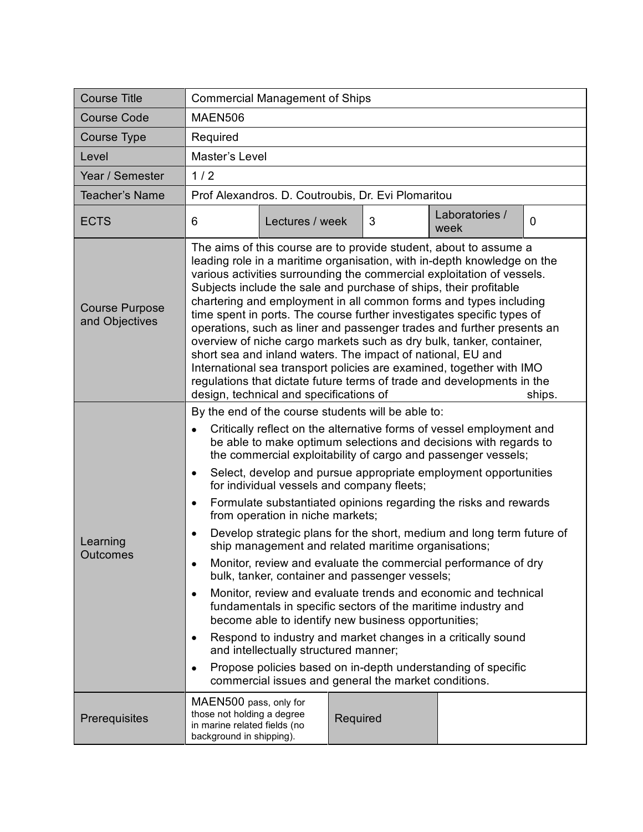| <b>Course Title</b>                     | <b>Commercial Management of Ships</b>                                                                                                                                                                                                                                                                                                                                                                                                                                                                                                                                                                                                                                                                                                                                                                                                                                                                                                                                                                                                                                                                                                                                                                                                                                           |          |                        |                |
|-----------------------------------------|---------------------------------------------------------------------------------------------------------------------------------------------------------------------------------------------------------------------------------------------------------------------------------------------------------------------------------------------------------------------------------------------------------------------------------------------------------------------------------------------------------------------------------------------------------------------------------------------------------------------------------------------------------------------------------------------------------------------------------------------------------------------------------------------------------------------------------------------------------------------------------------------------------------------------------------------------------------------------------------------------------------------------------------------------------------------------------------------------------------------------------------------------------------------------------------------------------------------------------------------------------------------------------|----------|------------------------|----------------|
| <b>Course Code</b>                      | <b>MAEN506</b>                                                                                                                                                                                                                                                                                                                                                                                                                                                                                                                                                                                                                                                                                                                                                                                                                                                                                                                                                                                                                                                                                                                                                                                                                                                                  |          |                        |                |
| Course Type                             | Required                                                                                                                                                                                                                                                                                                                                                                                                                                                                                                                                                                                                                                                                                                                                                                                                                                                                                                                                                                                                                                                                                                                                                                                                                                                                        |          |                        |                |
| Level                                   | Master's Level                                                                                                                                                                                                                                                                                                                                                                                                                                                                                                                                                                                                                                                                                                                                                                                                                                                                                                                                                                                                                                                                                                                                                                                                                                                                  |          |                        |                |
| Year / Semester                         | 1/2                                                                                                                                                                                                                                                                                                                                                                                                                                                                                                                                                                                                                                                                                                                                                                                                                                                                                                                                                                                                                                                                                                                                                                                                                                                                             |          |                        |                |
| <b>Teacher's Name</b>                   | Prof Alexandros. D. Coutroubis, Dr. Evi Plomaritou                                                                                                                                                                                                                                                                                                                                                                                                                                                                                                                                                                                                                                                                                                                                                                                                                                                                                                                                                                                                                                                                                                                                                                                                                              |          |                        |                |
| <b>ECTS</b>                             | 6<br>Lectures / week                                                                                                                                                                                                                                                                                                                                                                                                                                                                                                                                                                                                                                                                                                                                                                                                                                                                                                                                                                                                                                                                                                                                                                                                                                                            | 3        | Laboratories /<br>week | $\overline{0}$ |
| <b>Course Purpose</b><br>and Objectives | The aims of this course are to provide student, about to assume a<br>leading role in a maritime organisation, with in-depth knowledge on the<br>various activities surrounding the commercial exploitation of vessels.<br>Subjects include the sale and purchase of ships, their profitable<br>chartering and employment in all common forms and types including<br>time spent in ports. The course further investigates specific types of<br>operations, such as liner and passenger trades and further presents an<br>overview of niche cargo markets such as dry bulk, tanker, container,<br>short sea and inland waters. The impact of national, EU and<br>International sea transport policies are examined, together with IMO<br>regulations that dictate future terms of trade and developments in the<br>design, technical and specifications of<br>ships.                                                                                                                                                                                                                                                                                                                                                                                                              |          |                        |                |
| Learning<br>Outcomes                    | By the end of the course students will be able to:<br>Critically reflect on the alternative forms of vessel employment and<br>$\bullet$<br>be able to make optimum selections and decisions with regards to<br>the commercial exploitability of cargo and passenger vessels;<br>Select, develop and pursue appropriate employment opportunities<br>$\bullet$<br>for individual vessels and company fleets;<br>Formulate substantiated opinions regarding the risks and rewards<br>$\bullet$<br>from operation in niche markets;<br>Develop strategic plans for the short, medium and long term future of<br>$\bullet$<br>ship management and related maritime organisations;<br>Monitor, review and evaluate the commercial performance of dry<br>$\bullet$<br>bulk, tanker, container and passenger vessels;<br>Monitor, review and evaluate trends and economic and technical<br>$\bullet$<br>fundamentals in specific sectors of the maritime industry and<br>become able to identify new business opportunities;<br>Respond to industry and market changes in a critically sound<br>$\bullet$<br>and intellectually structured manner;<br>Propose policies based on in-depth understanding of specific<br>$\bullet$<br>commercial issues and general the market conditions. |          |                        |                |
| Prerequisites                           | MAEN500 pass, only for<br>those not holding a degree<br>in marine related fields (no<br>background in shipping).                                                                                                                                                                                                                                                                                                                                                                                                                                                                                                                                                                                                                                                                                                                                                                                                                                                                                                                                                                                                                                                                                                                                                                | Required |                        |                |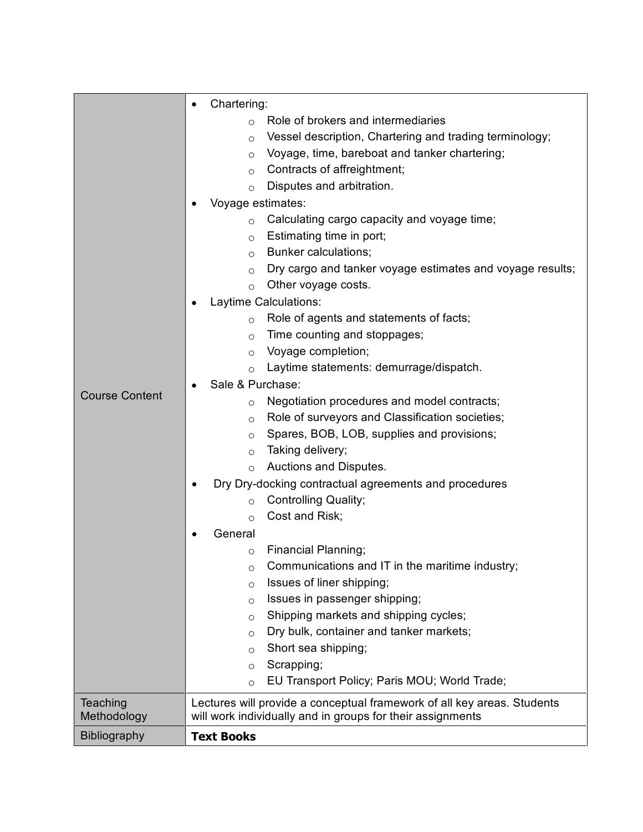|                       | Chartering:                                                             |  |  |
|-----------------------|-------------------------------------------------------------------------|--|--|
|                       | Role of brokers and intermediaries<br>$\circ$                           |  |  |
|                       | Vessel description, Chartering and trading terminology;<br>$\circ$      |  |  |
|                       | Voyage, time, bareboat and tanker chartering;<br>$\circ$                |  |  |
|                       | Contracts of affreightment;<br>$\circ$                                  |  |  |
|                       | Disputes and arbitration.<br>$\circ$                                    |  |  |
|                       | Voyage estimates:                                                       |  |  |
|                       | Calculating cargo capacity and voyage time;<br>$\circ$                  |  |  |
|                       | Estimating time in port;<br>$\circ$                                     |  |  |
|                       | Bunker calculations;<br>$\Omega$                                        |  |  |
|                       | Dry cargo and tanker voyage estimates and voyage results;<br>$\circ$    |  |  |
|                       | Other voyage costs.<br>$\circ$                                          |  |  |
|                       | Laytime Calculations:                                                   |  |  |
|                       | Role of agents and statements of facts;<br>$\circ$                      |  |  |
|                       | Time counting and stoppages;<br>$\circ$                                 |  |  |
|                       | Voyage completion;<br>$\circ$                                           |  |  |
|                       | Laytime statements: demurrage/dispatch.<br>$\circ$                      |  |  |
|                       | Sale & Purchase:                                                        |  |  |
| <b>Course Content</b> | Negotiation procedures and model contracts;<br>$\circ$                  |  |  |
|                       | Role of surveyors and Classification societies;<br>$\circ$              |  |  |
|                       | Spares, BOB, LOB, supplies and provisions;<br>$\circ$                   |  |  |
|                       | Taking delivery;<br>$\circ$                                             |  |  |
|                       | Auctions and Disputes.<br>$\circ$                                       |  |  |
|                       | Dry Dry-docking contractual agreements and procedures                   |  |  |
|                       | <b>Controlling Quality;</b><br>$\circ$                                  |  |  |
|                       | Cost and Risk;<br>$\circ$                                               |  |  |
|                       | General                                                                 |  |  |
|                       | Financial Planning;<br>$\circ$                                          |  |  |
|                       | Communications and IT in the maritime industry;<br>O                    |  |  |
|                       | Issues of liner shipping;<br>$\circ$                                    |  |  |
|                       | Issues in passenger shipping;<br>$\circ$                                |  |  |
|                       | Shipping markets and shipping cycles;<br>$\circ$                        |  |  |
|                       | Dry bulk, container and tanker markets;<br>$\circ$                      |  |  |
|                       | Short sea shipping;<br>$\circ$                                          |  |  |
|                       | Scrapping;<br>$\circ$                                                   |  |  |
|                       | EU Transport Policy; Paris MOU; World Trade;<br>$\circ$                 |  |  |
| Teaching              | Lectures will provide a conceptual framework of all key areas. Students |  |  |
| Methodology           | will work individually and in groups for their assignments              |  |  |
| Bibliography          | <b>Text Books</b>                                                       |  |  |